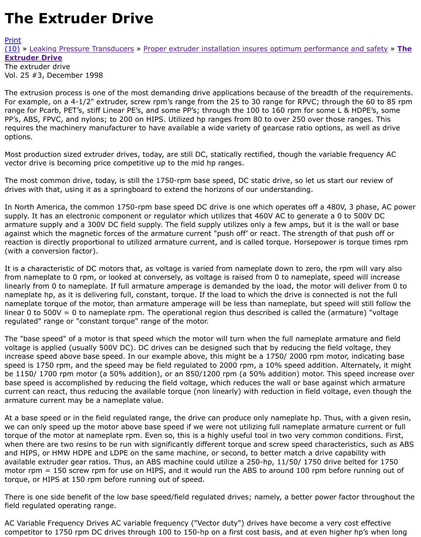## Vol. 25 #3, December 1998

The extrusion process is one of the most demanding drive applications because of the breadth of the For example, on a 4-1/2" extruder, screw rpm's range from the 25 to 30 range for RPVC; through the [range](http://extrusionwiki.com/wiki/Print.aspx?Page=CC-V25-3-A) for Pcarb, PET's, stiff Linear PE's, and some PP's; through the 100 to 160 rpm for some L & H [PP's,](http://extrusionwiki.com/wiki/CC-V25-3-A.ashx#) A[BS, FPVC, and nylons; to 200](http://extrusionwiki.com/wiki/CC-V25-2-A.ashx) on HIPS. Utilized hp ranges from 80 to over 250 over those ran requires the machinery manufacturer to have available a wide variety of gearcase ratio options, as w options.

Most production sized extruder drives, today, are still DC, statically rectified, though the variable fre vector drive is becoming price competitive up to the mid hp ranges.

The most common drive, today, is still the 1750-rpm base speed, DC static drive, so let us start our drives with that, using it as a springboard to extend the horizons of our understanding.

In North America, the common 1750-rpm base speed DC drive is one which operates off a 480V, 3 phase, AC power supply. It has an electronic component or regulator which utilizes that 460V AC to generate a 0 to 5 armature supply and a 300V DC field supply. The field supply utilizes only a few amps, but it is the wall or b against which the magnetic forces of the armature current "push off' or react. The strength of that push of reaction is directly proportional to utilized armature current, and is called torque. Horsepower is tor (with a conversion factor).

It is a characteristic of DC motors that, as voltage is varied from nameplate down to zero, the rpm w from nameplate to 0 rpm, or looked at conversely, as voltage is raised from 0 to nameplate, speed will linearly from 0 to nameplate. If full armature amperage is demanded by the load, the motor will del nameplate hp, as it is delivering full, constant, torque. If the load to which the drive is connected is nameplate torque of the motor, than armature amperage will be less than nameplate, but speed wil linear 0 to 500V = 0 to nameplate rpm. The operational region thus described is called the (armature) regulated" range or "constant torque" range of the motor.

The "base speed" of a motor is that speed which the motor will turn when the full nameplate armati voltage is applied (usually 500V DC). DC drives can be designed such that by reducing the field volt increase speed above base speed. In our example above, this might be a 1750/ 2000 rpm motor, in speed is 1750 rpm, and the speed may be field regulated to 2000 rpm, a 10% speed addition. Alter be 1150/ 1700 rpm motor (a 50% addition), or an 850/1200 rpm (a 50% addition) motor. This speed base speed is accomplished by reducing the field voltage, which reduces the wall or base against wh current can react, thus reducing the available torque (non linearly) with reduction in field voltage, e armature current may be a nameplate value.

At a base speed or in the field regulated range, the drive can produce only nameplate hp. Thus, with we can only speed up the motor above base speed if we were not utilizing full nameplate armature torque of the motor at nameplate rpm. Even so, this is a highly useful tool in two very common con when there are two resins to be run with significantly different torque and screw speed characteristics and HIPS, or HMW HDPE and LDPE on the same machine, or second, to better match a drive capabi available extruder gear ratios. Thus, an ABS machine could utilize a 250-hp, 11/50/ 1750 drive belt motor rpm  $= 150$  screw rpm for use on HIPS, and it would run the ABS to around 100 rpm before run torque, or HIPS at 150 rpm before running out of speed.

There is one side benefit of the low base speed/field regulated drives; namely, a better power factor field regulated operating range.

AC Variable Frequency Drives AC variable frequency ("Vector duty") drives have become a very cost competitor to 1750 rpm DC drives through 100 to 150-hp on a first cost basis, and at even higher h